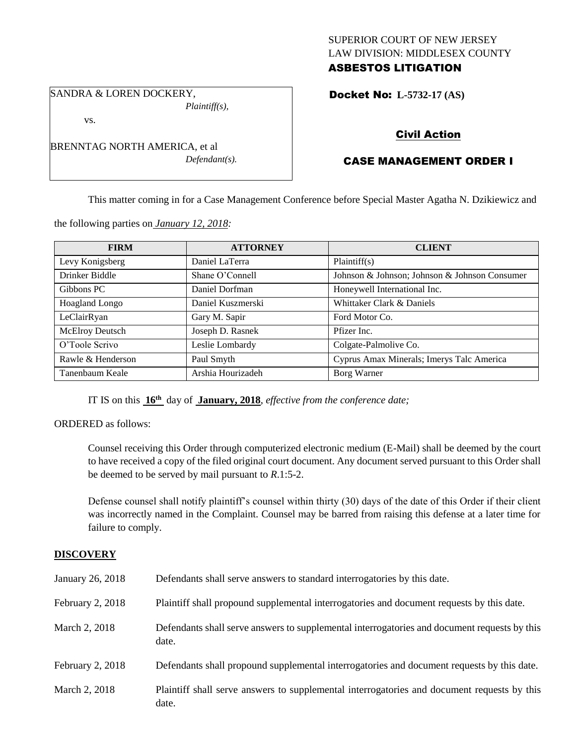### SUPERIOR COURT OF NEW JERSEY LAW DIVISION: MIDDLESEX COUNTY ASBESTOS LITIGATION

SANDRA & LOREN DOCKERY, *Plaintiff(s),*

vs.

BRENNTAG NORTH AMERICA, et al *Defendant(s).*

## Docket No: **L-5732-17 (AS)**

# Civil Action

# CASE MANAGEMENT ORDER I

This matter coming in for a Case Management Conference before Special Master Agatha N. Dzikiewicz and

the following parties on *January 12, 2018:*

| <b>FIRM</b>            | <b>ATTORNEY</b>   | <b>CLIENT</b>                                 |
|------------------------|-------------------|-----------------------------------------------|
| Levy Konigsberg        | Daniel LaTerra    | Plaintiff(s)                                  |
| Drinker Biddle         | Shane O'Connell   | Johnson & Johnson; Johnson & Johnson Consumer |
| Gibbons PC             | Daniel Dorfman    | Honeywell International Inc.                  |
| <b>Hoagland Longo</b>  | Daniel Kuszmerski | Whittaker Clark & Daniels                     |
| LeClairRyan            | Gary M. Sapir     | Ford Motor Co.                                |
| <b>McElroy Deutsch</b> | Joseph D. Rasnek  | Pfizer Inc.                                   |
| O'Toole Scrivo         | Leslie Lombardy   | Colgate-Palmolive Co.                         |
| Rawle & Henderson      | Paul Smyth        | Cyprus Amax Minerals; Imerys Talc America     |
| Tanenbaum Keale        | Arshia Hourizadeh | Borg Warner                                   |

IT IS on this **16th** day of **January, 2018**, *effective from the conference date;*

ORDERED as follows:

Counsel receiving this Order through computerized electronic medium (E-Mail) shall be deemed by the court to have received a copy of the filed original court document. Any document served pursuant to this Order shall be deemed to be served by mail pursuant to *R*.1:5-2.

Defense counsel shall notify plaintiff's counsel within thirty (30) days of the date of this Order if their client was incorrectly named in the Complaint. Counsel may be barred from raising this defense at a later time for failure to comply.

### **DISCOVERY**

| January 26, 2018 | Defendants shall serve answers to standard interrogatories by this date.                              |
|------------------|-------------------------------------------------------------------------------------------------------|
| February 2, 2018 | Plaintiff shall propound supplemental interrogatories and document requests by this date.             |
| March 2, 2018    | Defendants shall serve answers to supplemental interrogatories and document requests by this<br>date. |
| February 2, 2018 | Defendants shall propound supplemental interrogatories and document requests by this date.            |
| March 2, 2018    | Plaintiff shall serve answers to supplemental interrogatories and document requests by this<br>date.  |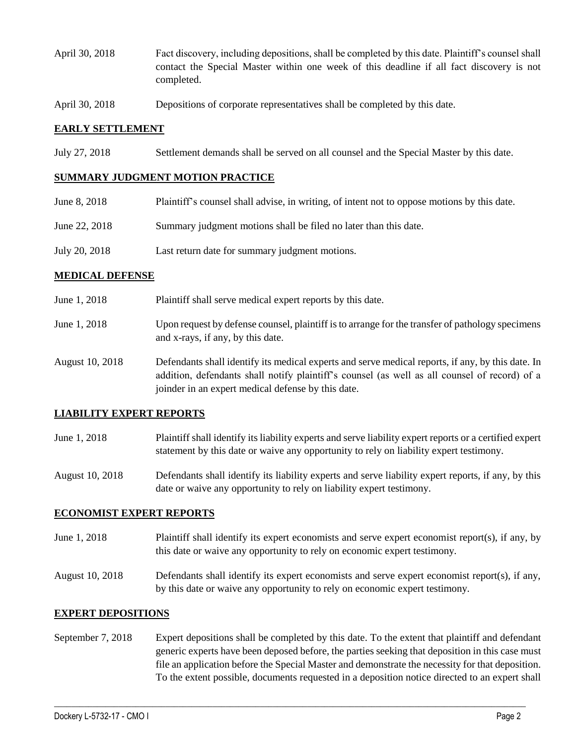- April 30, 2018 Fact discovery, including depositions, shall be completed by this date. Plaintiff's counsel shall contact the Special Master within one week of this deadline if all fact discovery is not completed.
- April 30, 2018 Depositions of corporate representatives shall be completed by this date.

#### **EARLY SETTLEMENT**

July 27, 2018 Settlement demands shall be served on all counsel and the Special Master by this date.

#### **SUMMARY JUDGMENT MOTION PRACTICE**

| June 8, 2018  | Plaintiff's counsel shall advise, in writing, of intent not to oppose motions by this date. |
|---------------|---------------------------------------------------------------------------------------------|
| June 22, 2018 | Summary judgment motions shall be filed no later than this date.                            |
| July 20, 2018 | Last return date for summary judgment motions.                                              |

#### **MEDICAL DEFENSE**

- June 1, 2018 Plaintiff shall serve medical expert reports by this date.
- June 1, 2018 Upon request by defense counsel, plaintiff is to arrange for the transfer of pathology specimens and x-rays, if any, by this date.
- August 10, 2018 Defendants shall identify its medical experts and serve medical reports, if any, by this date. In addition, defendants shall notify plaintiff's counsel (as well as all counsel of record) of a joinder in an expert medical defense by this date.

### **LIABILITY EXPERT REPORTS**

June 1, 2018 Plaintiff shall identify its liability experts and serve liability expert reports or a certified expert statement by this date or waive any opportunity to rely on liability expert testimony.

August 10, 2018 Defendants shall identify its liability experts and serve liability expert reports, if any, by this date or waive any opportunity to rely on liability expert testimony.

#### **ECONOMIST EXPERT REPORTS**

June 1, 2018 Plaintiff shall identify its expert economists and serve expert economist report(s), if any, by this date or waive any opportunity to rely on economic expert testimony.

August 10, 2018 Defendants shall identify its expert economists and serve expert economist report(s), if any, by this date or waive any opportunity to rely on economic expert testimony.

#### **EXPERT DEPOSITIONS**

September 7, 2018 Expert depositions shall be completed by this date. To the extent that plaintiff and defendant generic experts have been deposed before, the parties seeking that deposition in this case must file an application before the Special Master and demonstrate the necessity for that deposition. To the extent possible, documents requested in a deposition notice directed to an expert shall

 $\_$  ,  $\_$  ,  $\_$  ,  $\_$  ,  $\_$  ,  $\_$  ,  $\_$  ,  $\_$  ,  $\_$  ,  $\_$  ,  $\_$  ,  $\_$  ,  $\_$  ,  $\_$  ,  $\_$  ,  $\_$  ,  $\_$  ,  $\_$  ,  $\_$  ,  $\_$  ,  $\_$  ,  $\_$  ,  $\_$  ,  $\_$  ,  $\_$  ,  $\_$  ,  $\_$  ,  $\_$  ,  $\_$  ,  $\_$  ,  $\_$  ,  $\_$  ,  $\_$  ,  $\_$  ,  $\_$  ,  $\_$  ,  $\_$  ,